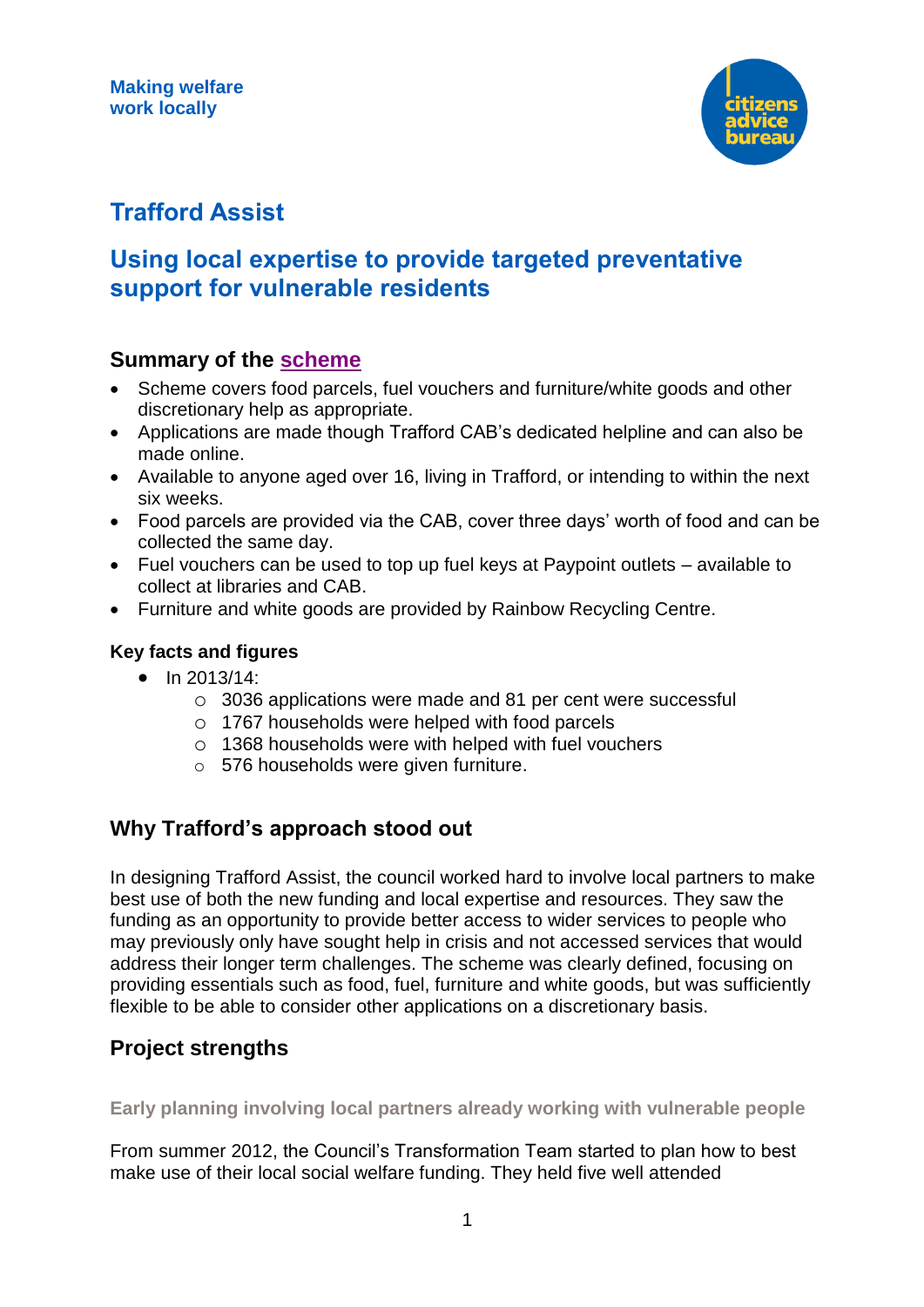

# **Trafford Assist**

## **Using local expertise to provide targeted preventative support for vulnerable residents**

## **Summary of the [scheme](http://www.trafford.gov.uk/residents/benefits-and-council-tax/benefits/discretionary-assistance.aspx)**

- Scheme covers food parcels, fuel vouchers and furniture/white goods and other discretionary help as appropriate.
- Applications are made though Trafford CAB's dedicated helpline and can also be made online.
- Available to anyone aged over 16, living in Trafford, or intending to within the next six weeks.
- Food parcels are provided via the CAB, cover three days' worth of food and can be collected the same day.
- Fuel vouchers can be used to top up fuel keys at Paypoint outlets available to collect at libraries and CAB.
- Furniture and white goods are provided by Rainbow Recycling Centre.

#### **Key facts and figures**

- $\bullet$  In 2013/14:
	- o 3036 applications were made and 81 per cent were successful
	- o 1767 households were helped with food parcels
	- o 1368 households were with helped with fuel vouchers
	- o 576 households were given furniture.

## **Why Trafford's approach stood out**

In designing Trafford Assist, the council worked hard to involve local partners to make best use of both the new funding and local expertise and resources. They saw the funding as an opportunity to provide better access to wider services to people who may previously only have sought help in crisis and not accessed services that would address their longer term challenges. The scheme was clearly defined, focusing on providing essentials such as food, fuel, furniture and white goods, but was sufficiently flexible to be able to consider other applications on a discretionary basis.

### **Project strengths**

**Early planning involving local partners already working with vulnerable people**

From summer 2012, the Council's Transformation Team started to plan how to best make use of their local social welfare funding. They held five well attended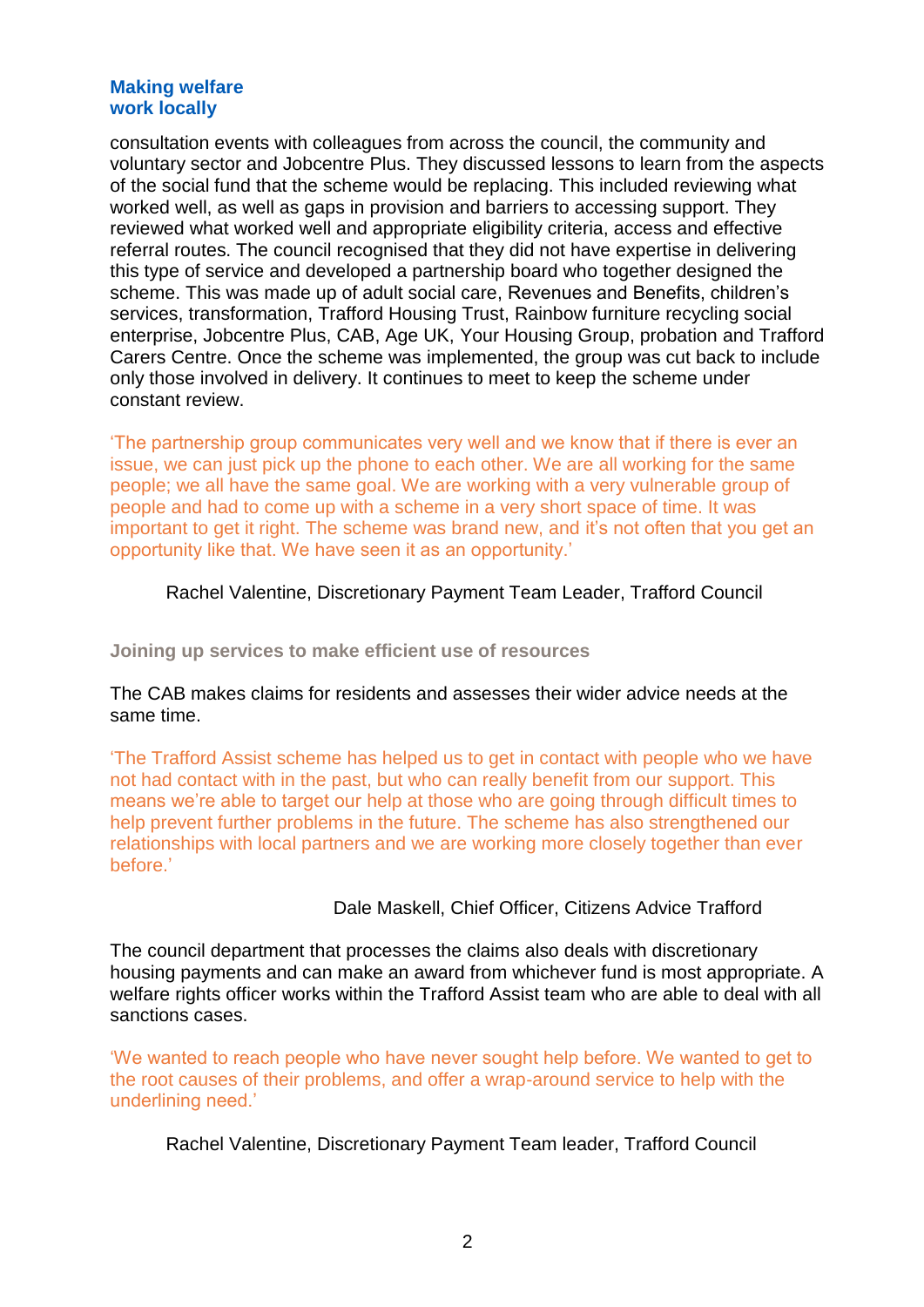#### **Making welfare work locally**

consultation events with colleagues from across the council, the community and voluntary sector and Jobcentre Plus. They discussed lessons to learn from the aspects of the social fund that the scheme would be replacing. This included reviewing what worked well, as well as gaps in provision and barriers to accessing support. They reviewed what worked well and appropriate eligibility criteria, access and effective referral routes. The council recognised that they did not have expertise in delivering this type of service and developed a partnership board who together designed the scheme. This was made up of adult social care, Revenues and Benefits, children's services, transformation, Trafford Housing Trust, Rainbow furniture recycling social enterprise, Jobcentre Plus, CAB, Age UK, Your Housing Group, probation and Trafford Carers Centre. Once the scheme was implemented, the group was cut back to include only those involved in delivery. It continues to meet to keep the scheme under constant review.

'The partnership group communicates very well and we know that if there is ever an issue, we can just pick up the phone to each other. We are all working for the same people; we all have the same goal. We are working with a very vulnerable group of people and had to come up with a scheme in a very short space of time. It was important to get it right. The scheme was brand new, and it's not often that you get an opportunity like that. We have seen it as an opportunity.'

#### Rachel Valentine, Discretionary Payment Team Leader, Trafford Council

**Joining up services to make efficient use of resources**

#### The CAB makes claims for residents and assesses their wider advice needs at the same time.

'The Trafford Assist scheme has helped us to get in contact with people who we have not had contact with in the past, but who can really benefit from our support. This means we're able to target our help at those who are going through difficult times to help prevent further problems in the future. The scheme has also strengthened our relationships with local partners and we are working more closely together than ever before.'

#### Dale Maskell, Chief Officer, Citizens Advice Trafford

The council department that processes the claims also deals with discretionary housing payments and can make an award from whichever fund is most appropriate. A welfare rights officer works within the Trafford Assist team who are able to deal with all sanctions cases.

'We wanted to reach people who have never sought help before. We wanted to get to the root causes of their problems, and offer a wrap-around service to help with the underlining need.'

Rachel Valentine, Discretionary Payment Team leader, Trafford Council